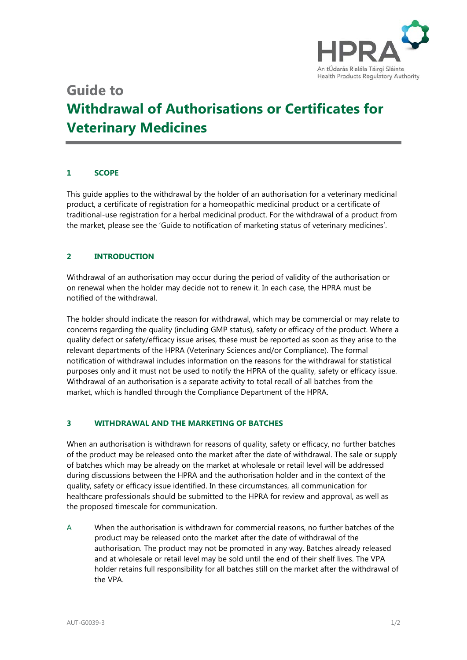

# **Guide to Withdrawal of Authorisations or Certificates for Veterinary Medicines**

### **1 SCOPE**

This guide applies to the withdrawal by the holder of an authorisation for a veterinary medicinal product, a certificate of registration for a homeopathic medicinal product or a certificate of traditional-use registration for a herbal medicinal product. For the withdrawal of a product from the market, please see the 'Guide to notification of marketing status of veterinary medicines'.

### **2 INTRODUCTION**

Withdrawal of an authorisation may occur during the period of validity of the authorisation or on renewal when the holder may decide not to renew it. In each case, the HPRA must be notified of the withdrawal.

The holder should indicate the reason for withdrawal, which may be commercial or may relate to concerns regarding the quality (including GMP status), safety or efficacy of the product. Where a quality defect or safety/efficacy issue arises, these must be reported as soon as they arise to the relevant departments of the HPRA (Veterinary Sciences and/or Compliance). The formal notification of withdrawal includes information on the reasons for the withdrawal for statistical purposes only and it must not be used to notify the HPRA of the quality, safety or efficacy issue. Withdrawal of an authorisation is a separate activity to total recall of all batches from the market, which is handled through the Compliance Department of the HPRA.

#### **3 WITHDRAWAL AND THE MARKETING OF BATCHES**

When an authorisation is withdrawn for reasons of quality, safety or efficacy, no further batches of the product may be released onto the market after the date of withdrawal. The sale or supply of batches which may be already on the market at wholesale or retail level will be addressed during discussions between the HPRA and the authorisation holder and in the context of the quality, safety or efficacy issue identified. In these circumstances, all communication for healthcare professionals should be submitted to the HPRA for review and approval, as well as the proposed timescale for communication.

A When the authorisation is withdrawn for commercial reasons, no further batches of the product may be released onto the market after the date of withdrawal of the authorisation. The product may not be promoted in any way. Batches already released and at wholesale or retail level may be sold until the end of their shelf lives. The VPA holder retains full responsibility for all batches still on the market after the withdrawal of the VPA.